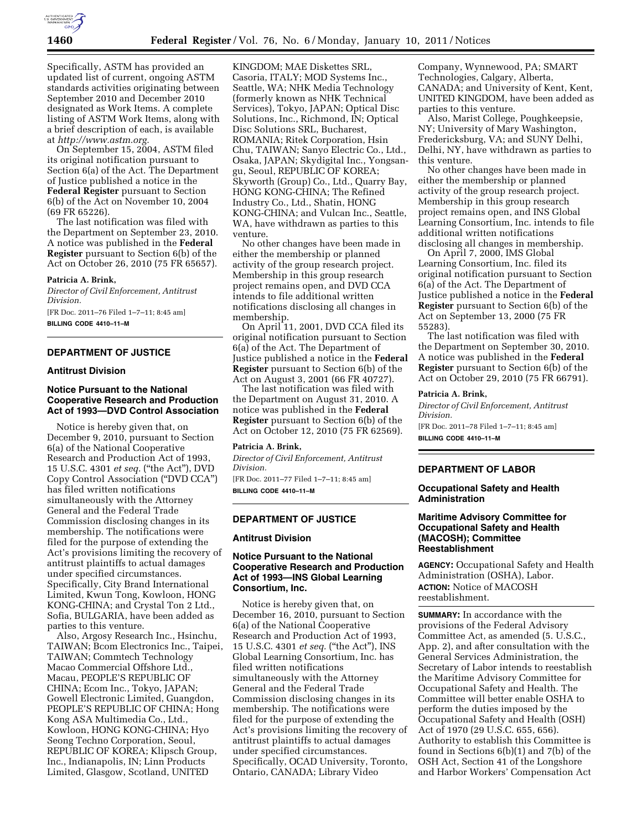

Specifically, ASTM has provided an updated list of current, ongoing ASTM standards activities originating between September 2010 and December 2010 designated as Work Items. A complete listing of ASTM Work Items, along with a brief description of each, is available at *[http://www.astm.org.](http://www.astm.org)* 

On September 15, 2004, ASTM filed its original notification pursuant to Section 6(a) of the Act. The Department of Justice published a notice in the **Federal Register** pursuant to Section 6(b) of the Act on November 10, 2004 (69 FR 65226).

The last notification was filed with the Department on September 23, 2010. A notice was published in the **Federal Register** pursuant to Section 6(b) of the Act on October 26, 2010 (75 FR 65657).

### **Patricia A. Brink,**

*Director of Civil Enforcement, Antitrust Division.* 

[FR Doc. 2011–76 Filed 1–7–11; 8:45 am] **BILLING CODE 4410–11–M** 

# **DEPARTMENT OF JUSTICE**

## **Antitrust Division**

# **Notice Pursuant to the National Cooperative Research and Production Act of 1993—DVD Control Association**

Notice is hereby given that, on December 9, 2010, pursuant to Section 6(a) of the National Cooperative Research and Production Act of 1993, 15 U.S.C. 4301 *et seq.* (''the Act''), DVD Copy Control Association (''DVD CCA'') has filed written notifications simultaneously with the Attorney General and the Federal Trade Commission disclosing changes in its membership. The notifications were filed for the purpose of extending the Act's provisions limiting the recovery of antitrust plaintiffs to actual damages under specified circumstances. Specifically, City Brand International Limited, Kwun Tong, Kowloon, HONG KONG-CHINA; and Crystal Ton 2 Ltd., Sofia, BULGARIA, have been added as parties to this venture.

Also, Argosy Research Inc., Hsinchu, TAIWAN; Bcom Electronics Inc., Taipei, TAIWAN; Commtech Technology Macao Commercial Offshore Ltd., Macau, PEOPLE'S REPUBLIC OF CHINA; Ecom Inc., Tokyo, JAPAN; Gowell Electronic Limited, Guangdon, PEOPLE'S REPUBLIC OF CHINA; Hong Kong ASA Multimedia Co., Ltd., Kowloon, HONG KONG-CHINA; Hyo Seong Techno Corporation, Seoul, REPUBLIC OF KOREA; Klipsch Group, Inc., Indianapolis, IN; Linn Products Limited, Glasgow, Scotland, UNITED

KINGDOM; MAE Diskettes SRL, Casoria, ITALY; MOD Systems Inc., Seattle, WA; NHK Media Technology (formerly known as NHK Technical Services), Tokyo, JAPAN; Optical Disc Solutions, Inc., Richmond, IN; Optical Disc Solutions SRL, Bucharest, ROMANIA; Ritek Corporation, Hsin Chu, TAIWAN; Sanyo Electric Co., Ltd., Osaka, JAPAN; Skydigital Inc., Yongsangu, Seoul, REPUBLIC OF KOREA; Skyworth (Group) Co., Ltd., Quarry Bay, HONG KONG-CHINA; The Refined Industry Co., Ltd., Shatin, HONG KONG-CHINA; and Vulcan Inc., Seattle, WA, have withdrawn as parties to this venture.

No other changes have been made in either the membership or planned activity of the group research project. Membership in this group research project remains open, and DVD CCA intends to file additional written notifications disclosing all changes in membership.

On April 11, 2001, DVD CCA filed its original notification pursuant to Section 6(a) of the Act. The Department of Justice published a notice in the **Federal Register** pursuant to Section 6(b) of the Act on August 3, 2001 (66 FR 40727).

The last notification was filed with the Department on August 31, 2010. A notice was published in the **Federal Register** pursuant to Section 6(b) of the Act on October 12, 2010 (75 FR 62569).

### **Patricia A. Brink,**

*Director of Civil Enforcement, Antitrust Division.*  [FR Doc. 2011–77 Filed 1–7–11; 8:45 am]

**BILLING CODE 4410–11–M** 

## **DEPARTMENT OF JUSTICE**

### **Antitrust Division**

# **Notice Pursuant to the National Cooperative Research and Production Act of 1993—INS Global Learning Consortium, Inc.**

Notice is hereby given that, on December 16, 2010, pursuant to Section 6(a) of the National Cooperative Research and Production Act of 1993, 15 U.S.C. 4301 *et seq.* (''the Act''), INS Global Learning Consortium, Inc. has filed written notifications simultaneously with the Attorney General and the Federal Trade Commission disclosing changes in its membership. The notifications were filed for the purpose of extending the Act's provisions limiting the recovery of antitrust plaintiffs to actual damages under specified circumstances. Specifically, OCAD University, Toronto, Ontario, CANADA; Library Video

Company, Wynnewood, PA; SMART Technologies, Calgary, Alberta, CANADA; and University of Kent, Kent, UNITED KINGDOM, have been added as parties to this venture.

Also, Marist College, Poughkeepsie, NY; University of Mary Washington, Fredericksburg, VA; and SUNY Delhi, Delhi, NY, have withdrawn as parties to this venture.

No other changes have been made in either the membership or planned activity of the group research project. Membership in this group research project remains open, and INS Global Learning Consortium, Inc. intends to file additional written notifications disclosing all changes in membership.

On April 7, 2000, IMS Global Learning Consortium, Inc. filed its original notification pursuant to Section 6(a) of the Act. The Department of Justice published a notice in the **Federal Register** pursuant to Section 6(b) of the Act on September 13, 2000 (75 FR 55283).

The last notification was filed with the Department on September 30, 2010. A notice was published in the **Federal Register** pursuant to Section 6(b) of the Act on October 29, 2010 (75 FR 66791).

#### **Patricia A. Brink,**

*Director of Civil Enforcement, Antitrust Division.* 

[FR Doc. 2011–78 Filed 1–7–11; 8:45 am] **BILLING CODE 4410–11–M** 

## **DEPARTMENT OF LABOR**

## **Occupational Safety and Health Administration**

# **Maritime Advisory Committee for Occupational Safety and Health (MACOSH); Committee Reestablishment**

**AGENCY:** Occupational Safety and Health Administration (OSHA), Labor. **ACTION:** Notice of MACOSH reestablishment.

**SUMMARY:** In accordance with the provisions of the Federal Advisory Committee Act, as amended (5. U.S.C., App. 2), and after consultation with the General Services Administration, the Secretary of Labor intends to reestablish the Maritime Advisory Committee for Occupational Safety and Health. The Committee will better enable OSHA to perform the duties imposed by the Occupational Safety and Health (OSH) Act of 1970 (29 U.S.C. 655, 656). Authority to establish this Committee is found in Sections 6(b)(1) and 7(b) of the OSH Act, Section 41 of the Longshore and Harbor Workers' Compensation Act